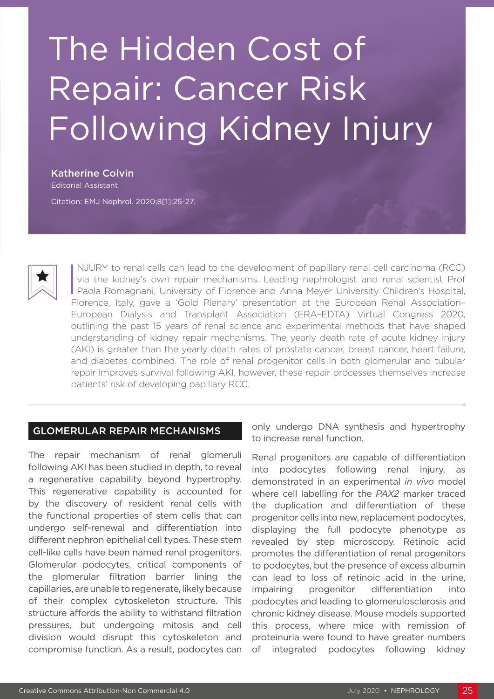# The Hidden Cost of Repair: Cancer Risk Following Kidney Injury

Katherine Colvin Editorial Assistant Citation: EMJ Nephrol. 2020;8[1]:25-27.



I NJURY to renal cells can lead to the development of papillary renal cell carcinoma (RCC)<br>via the kidney's own repair mechanisms. Leading nephrologist and renal scientist Prof<br>Paola Romagnani, University of Florence and A NJURY to renal cells can lead to the development of papillary renal cell carcinoma (RCC) via the kidney's own repair mechanisms. Leading nephrologist and renal scientist Prof Florence, Italy, gave a 'Gold Plenary' presentation at the European Renal Association– European Dialysis and Transplant Association (ERA–EDTA) Virtual Congress 2020, outlining the past 15 years of renal science and experimental methods that have shaped understanding of kidney repair mechanisms. The yearly death rate of acute kidney injury (AKI) is greater than the yearly death rates of prostate cancer, breast cancer, heart failure, and diabetes combined. The role of renal progenitor cells in both glomerular and tubular repair improves survival following AKI, however, these repair processes themselves increase patients' risk of developing papillary RCC.

#### GLOMERULAR REPAIR MECHANISMS

The repair mechanism of renal glomeruli following AKI has been studied in depth, to reveal a regenerative capability beyond hypertrophy. This regenerative capability is accounted for by the discovery of resident renal cells with the functional properties of stem cells that can undergo self-renewal and differentiation into different nephron epithelial cell types. These stem cell-like cells have been named renal progenitors. Glomerular podocytes, critical components of the glomerular filtration barrier lining the capillaries, are unable to regenerate, likely because of their complex cytoskeleton structure. This structure affords the ability to withstand filtration pressures, but undergoing mitosis and cell division would disrupt this cytoskeleton and compromise function. As a result, podocytes can

only undergo DNA synthesis and hypertrophy to increase renal function.

Renal progenitors are capable of differentiation into podocytes following renal injury, as demonstrated in an experimental *in vivo* model where cell labelling for the *PAX2* marker traced the duplication and differentiation of these progenitor cells into new, replacement podocytes, displaying the full podocyte phenotype as revealed by step microscopy. Retinoic acid promotes the differentiation of renal progenitors to podocytes, but the presence of excess albumin can lead to loss of retinoic acid in the urine, impairing progenitor differentiation into podocytes and leading to glomerulosclerosis and chronic kidney disease. Mouse models supported this process, where mice with remission of proteinuria were found to have greater numbers of integrated podocytes following kidney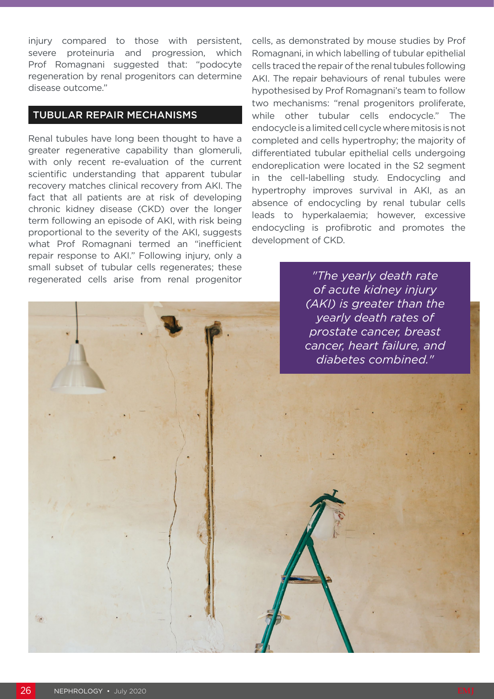injury compared to those with persistent, severe proteinuria and progression, which Prof Romagnani suggested that: "podocyte regeneration by renal progenitors can determine disease outcome."

### TUBULAR REPAIR MECHANISMS

Renal tubules have long been thought to have a greater regenerative capability than glomeruli, with only recent re-evaluation of the current scientific understanding that apparent tubular recovery matches clinical recovery from AKI. The fact that all patients are at risk of developing chronic kidney disease (CKD) over the longer term following an episode of AKI, with risk being proportional to the severity of the AKI, suggests what Prof Romagnani termed an "inefficient repair response to AKI." Following injury, only a small subset of tubular cells regenerates; these regenerated cells arise from renal progenitor

cells, as demonstrated by mouse studies by Prof Romagnani, in which labelling of tubular epithelial cells traced the repair of the renal tubules following AKI. The repair behaviours of renal tubules were hypothesised by Prof Romagnani's team to follow two mechanisms: "renal progenitors proliferate, while other tubular cells endocycle." The endocycle is a limited cell cycle where mitosis is not completed and cells hypertrophy; the majority of differentiated tubular epithelial cells undergoing endoreplication were located in the S2 segment in the cell-labelling study. Endocycling and hypertrophy improves survival in AKI, as an absence of endocycling by renal tubular cells leads to hyperkalaemia; however, excessive endocycling is profibrotic and promotes the development of CKD.

> *"The yearly death rate of acute kidney injury (AKI) is greater than the yearly death rates of prostate cancer, breast cancer, heart failure, and diabetes combined."*